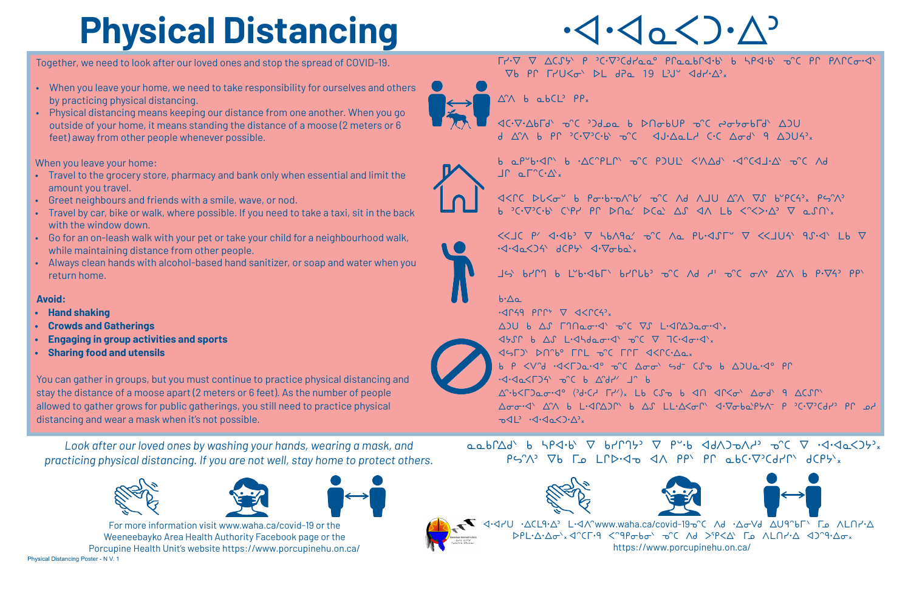Together, we need to look after our loved ones and stop the spread of COVID-19.

- When you leave your home, we need to take responsibility for ourselves and others by practicing physical distancing.
- Physical distancing means keeping our distance from one another. When you go outside of your home, it means standing the distance of a moose (2 meters or 6 feet) away from other people whenever possible.

When you leave your home:

- • Travel to the grocery store, pharmacy and bank only when essential and limit the amount you travel.
- • Greet neighbours and friends with a smile, wave, or nod.
- Travel by car, bike or walk, where possible. If you need to take a taxi, sit in the back with the window down.
- Go for an on-leash walk with your pet or take your child for a neighbourhood walk, while maintaining distance from other people.
- • Always clean hands with alcohol-based hand sanitizer, or soap and water when you return home.

  $PS^{\prime}\wedge^{\circ}$   $\nabla b$   $\Gamma_{\omega}$   $L \cap D \cdot \varphi_{\omega}$   $d \wedge$   $PP^{\vee}$   $PP^{\vee}$   $Q_0$   $Q_1$   $Q_2$   $Q_1$   $Q_2$   $Q_3$   $Q_4$ 









Warl dirictorid-19-2 CL90∆ U-4∧^www.waha.ca/covid-19-3 C ∧d ^∆oVd ∆U9^bГ` Гه ∧LN DPL·Δ·Δσ<sup>-</sup>x <2°CΓ·9 <2°9Pσbσ<sup>3</sup> σ°C Λd >9Ρ<Δ' Γω ΛLΠr'Δ <20°9·Δσx https://www.porcupinehu.on.ca/





b a P"b.<IN b . AC"PLN" O'C PJUL' <'AAd' .<I'C<LI.A' O'C Ad

 $\cdot \langle \cdot \rangle \circ \langle \cdot \rangle$ 

  $\nabla b$  PC  $\Gamma rU \leq \sigma$   $\nabla L$  dPa 19 LV  $\triangleleft d r \cdot \triangleleft r$ 

 $\triangle^{\wedge}$  b abCL<sup>2</sup>  $PP_x$ 

**JC.V.Abrd' o'C 'Idoa b DNobUP o'C 2010brd' AIU** d AM b PP 'C.V'C.b' o'C < 4J.AoLL C.C Aod' 9 AJU4'

VEN PLEO b Portrovité or Ad AJU AM VS bupca, PSM b  ${}^{\circ}C\cdot\nabla{}^{\circ}C\cdot b$  cript producted and  $\Delta S$  and  $\Delta A$  by  $\langle C^{\circ}\rangle$  and  $\Delta S$  and  $\Delta S$ 



 $\lt\lt 10$  P'  $\triangleleft\cdot\triangleleft b$   $\nabla$   $\triangleright$   $b \wedge 9a'$  o'c  $\wedge a$  PL $\triangleleft\circ 10$   $\nabla$   $\lt\lt\lt 10$   $\wedge$   $\triangleleft\circ 10$   $\nabla$  $\cdot$ <d $\cdot$ <d $\cdot$ <d $\cdot$  dCP $\cdot$  <d $\cdot$   $\nabla$  $\sigma$ ba $\cdot$ x

JS 67M 6 L'6.<16 b7CL6' 0C Ad d' 0C 0A' A'A 6 P.74' PP

### $b \cdot \Delta \alpha$



 $\cdot$ <dr(49 Prr<sup>+</sup>  $\nabla$  <dc(4)<sub>x</sub>  $\Delta$ )U b  $\Delta$  $\int$   $\Gamma$  $\Omega$  $\alpha$  $\sigma$ · $\Delta$ <sup>'</sup>  $\sigma$ <sup>'</sup> $C$   $\nabla$  $\int$   $L$ · $\Delta$  $\Gamma$  $\Delta$  $\Delta$  $\alpha$  $\sigma$ · $\Delta$ '<sub>x</sub>  $\Delta S \cap b$   $\Delta S$   $L \cdot \Delta b$ deo $\cdot \Delta$   $\Delta C$   $\Delta T$   $\Delta C \cdot \Delta \cdot \Delta$  $(155)$   $P150$   $P150$   $P150$   $P150$   $P150$   $P150$   $P150$ b P <V"d .<<F)a.<0 0"C A00' sd CS b AJUa.<0 PM א יβיליב∠125 <del>ס</del>°כ 6 ב'16 ש'  $\Delta^n \cdot b \leq \Gamma$  $\Delta \sigma \sigma$ ۰۲<sup>۰</sup>  $\Delta \wedge$  b L۰۲۲Δ) b  $\Delta$  $\Gamma$  LL۰ $\Delta \langle \sigma \cap \Delta \rangle$  d۰ $\nabla \sigma$ ba $\Delta \rho$  b  $\gamma$  c۰ $\nabla$  $\Omega$ d۲' pr  $\neg\Diamond\Box$   $\neg\Diamond\neg\Diamond\Diamond\Diamond\Diamond$ 

# **Physical Distancing**

*Look after our loved ones by washing your hands, wearing a mask, and practicing physical distancing. If you are not well, stay home to protect others.*







Physical Distancing Poster - N V. 1 For more information visit www.waha.ca/covid-19 or the Weeneebayko Area Health Authority Facebook page or the Porcupine Health Unit's website https://www.porcupinehu.on.ca/



#### **Avoid:**

- **• Hand shaking**
- **• Crowds and Gatherings**
- **• Engaging in group activities and sports**
- **• Sharing food and utensils**

You can gather in groups, but you must continue to practice physical distancing and stay the distance of a moose apart (2 meters or 6 feet). As the number of people allowed to gather grows for public gatherings, you still need to practice physical distancing and wear a mask when it's not possible.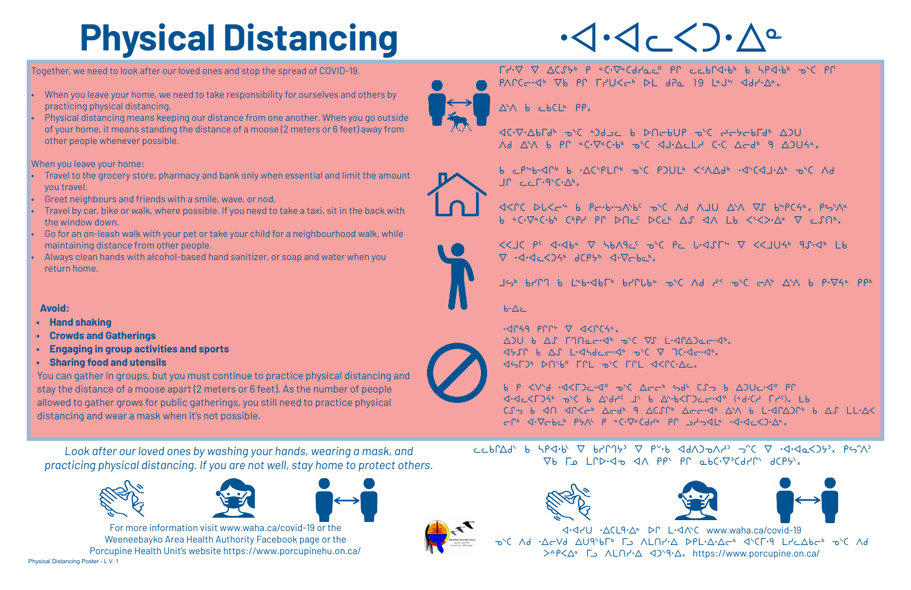#### Together, we need to look after our loved ones and stop the spread of COVID-19.

- When you leave your home, we need to take responsibility for ourselves and others by practicing physical distancing.
- Physical distancing means keeping our distance from one another. When you go outside of your home, it means standing the distance of a moose (2 meters or 6 feet) away from other people whenever possible.

When you leave your home:

- Travel to the grocery store, pharmacy and bank only when essential and limit the amount you travel.
- Greet neighbours and friends with a smile, wave, or nod.
- Travel by car, bike or walk, where possible. If you need to take a taxi, sit in the back with the window down.
- 60 for an on-leash walk with your pet or take your child for a neighbourhood walk, while maintaining distance from other people.
- Always clean hands with alcohol-based hand sanitizer, or soap and water when you return home.

# **Physical Distancing**

*Look after our loved ones by washing your hands, wearing a mask, and practicing physical distancing. If you are not well, stay home to protect others.*







Physical Distancing Poster - L V. 1 For more information visit www.waha.ca/covid-19 or the Weeneebayko Area Health Authority Facebook page or the Porcupine Health Unit's website https://www.porcupinehu.on.ca/



b P <V'd .<<F)c.<< a' C Acc' sd' (f a A)Uc.< Pr  $\triangleleft$   $\triangleleft$   $\triangleleft$   $\triangleleft$   $\triangleleft$   $\triangleleft$   $\triangleleft$   $\triangleleft$   $\triangleleft$   $\triangleleft$   $\triangleleft$   $\triangleleft$   $\triangleleft$   $\triangleleft$   $\triangleleft$   $\triangleleft$   $\triangleleft$   $\triangleleft$   $\triangleleft$   $\triangleleft$   $\triangleleft$   $\triangleleft$   $\triangleleft$   $\triangleleft$   $\triangleleft$   $\triangleleft$   $\triangleleft$   $\triangleleft$   $\triangleleft$   $\triangleleft$   $\triangleleft$   $\triangleleft$   $\triangleleft$   $\triangleleft$   $\triangleleft$   $\triangleleft$   $\triangleleft$  

 $CCP(XY) = \frac{1}{2} \left( \frac{1}{2} \left( \frac{1}{2} \left( \frac{1}{2} \left( \frac{1}{2} \right) - \frac{1}{2} \left( \frac{1}{2} \right) \right) \right) + \frac{1}{2} \left( \frac{1}{2} \left( \frac{1}{2} \left( \frac{1}{2} \right) - \frac{1}{2} \left( \frac{1}{2} \left( \frac{1}{2} \right) \right) \right) \right) + \frac{1}{2} \left( \frac{1}{2} \left( \frac{1}{2} \left( \frac{1}{2} \left( \frac{1}{2} \right) - \frac{1$  $\nabla b$   $\Gamma_{\Omega}$   $\Gamma \Gamma D \cdot \Delta_{\Omega}$   $\Delta \Lambda$   $PP^{\wedge}$   $PP^{\wedge}$   $\Delta b C \cdot \nabla^{2} C d P \Gamma^{\wedge}$   $dCP \nabla_{x}$ 



 $\cdot$ <dr 9 Prr  $\nabla$  <dex  $\sim$ 



 $\Gamma$  $\cdot$  $\nabla$   $\nabla$   $\Delta$ CSS<sup>6</sup>  $\rho$  <sup>a</sup>C· $\nabla$ <sup>a</sup>Cd $\sigma$ <sub>c</sub><sup>o</sup>  $\rho$  $\Gamma$  ccb $\Gamma$  $\Delta$ <sup>+</sup>b<sup>6</sup> b 5 $\rho$  $\Delta$ <sup>+</sup>b<sup>6</sup>  $\nabla$   $\rho$  $\Gamma$  $P\Lambda\Gamma C\subset A^b$   $\nabla b$   $P\Gamma\Gamma\Gamma U\subset C^b$   $\nabla L$   $dPa$  19  $L^aJ^b$   $\Delta dH^b\Delta^a{}_x$ 

 $\triangle$ <sup>5</sup> $\triangle$  b cbCL<sup>e</sup>  $PP_x$ 

**ICC - JOS - JOS - JOS - JOS - JOS - JOS - JOS - JOS - JOS - JOS - JOS - JOS - JOS - JOS - JOS - JOS - JOS - JO**  $\Lambda$ d  $\Delta^{\lambda}\Lambda$  b Pr ac $\cdot\nabla^{\alpha}$ c $\cdot$ bh  $\sigma^{\lambda}$ C  $\Delta J\cdot\Delta$ cld c $\cdot$ C  $\Delta\sigma$ dh 9  $\Delta$ JU $\cdot$ a<sub>x</sub>

b cpsb.<dpb b .  $\Delta$ CspLpb  $\Delta$ sc PDULb << $\Delta$ Adb .  $\Delta$ sc $\Delta$ J. $\Delta$ b  $\Delta$ sc $\Delta$ Ad  $J \cap C \subset \Gamma \cdot 9 \cap C \cdot \Delta^b$ 

J<PC DL<c" b Pc-b-JA'bc D'C Ad AJU A'A VS bSPC40x PS'A0 b ac. Jacobe COPY PP DNCC DCCO AS AN Lb <><>A V CSNO'x



 $<<$ JC  $P^c$   $\triangleleft$  $\triangleleft$ be  $\nabla$   $\triangleleft$ b $\triangleleft$  $\triangleleft$ C  $\triangleleft$   $\triangleleft$ C  $\triangleleft$   $\triangleleft$   $\triangleleft$   $\triangleleft$   $\triangleleft$   $\triangleleft$   $\triangleleft$   $\triangleleft$   $\triangleleft$   $\triangleleft$   $\triangleleft$   $\triangleleft$   $\triangleleft$   $\triangleleft$   $\triangleleft$   $\triangleleft$   $\triangleleft$   $\triangleleft$   $\triangleleft$   $\triangleleft$   $\triangleleft$   $\triangleleft$   $\triangleleft$   $\triangleleft$   $\triangleleft$   $\triangleleft$   $\triangle$  $\nabla \cdot 4.4c\angle 24^6 dCP5^6 d\cdot 7cbc^6x$ 

 $JS^b$  bring b LSb.<dbla bringle bsc Ad ds bst ASA b P.  $\nabla A^a$  Ppb

 $h \cdot \Lambda_{c}$ 







#### **Avoid:**

- **• Hand shaking**
- **• Crowds and Gatherings**
- **• Engaging in group activities and sports**
- **• Sharing food and utensils**

You can gather in groups, but you must continue to practice physical distancing and stay the distance of a moose apart (2 meters or 6 feet). As the number of people allowed to gather grows for public gatherings, you still need to practice physical distancing and wear a mask when it's not possible.



 $\Delta$ )U b  $\Delta$ S [1 $\Omega$ ac.<db  $\sigma$ <sup>6</sup>(  $\nabla$ S L.<df $\Delta$ )ac.<db<sub>x</sub>  $450$  b  $\Delta S$  L.45dcc.4b o'C  $\nabla$   $\nabla$   $\Delta G$  $(455)$   $D150$   $D150$   $D11$   $D50$   $D11$   $D50$   $D11$   $D50$   $D11$   $D11$   $D11$   $D11$   $D11$   $D11$   $D11$   $D11$